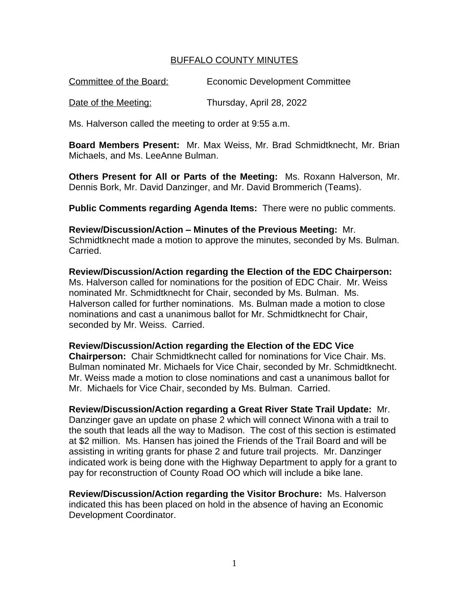## BUFFALO COUNTY MINUTES

Committee of the Board: Economic Development Committee

Date of the Meeting: Thursday, April 28, 2022

Ms. Halverson called the meeting to order at 9:55 a.m.

**Board Members Present:** Mr. Max Weiss, Mr. Brad Schmidtknecht, Mr. Brian Michaels, and Ms. LeeAnne Bulman.

**Others Present for All or Parts of the Meeting:** Ms. Roxann Halverson, Mr. Dennis Bork, Mr. David Danzinger, and Mr. David Brommerich (Teams).

**Public Comments regarding Agenda Items:** There were no public comments.

**Review/Discussion/Action – Minutes of the Previous Meeting:** Mr. Schmidtknecht made a motion to approve the minutes, seconded by Ms. Bulman. Carried.

**Review/Discussion/Action regarding the Election of the EDC Chairperson:** Ms. Halverson called for nominations for the position of EDC Chair. Mr. Weiss nominated Mr. Schmidtknecht for Chair, seconded by Ms. Bulman. Ms. Halverson called for further nominations. Ms. Bulman made a motion to close nominations and cast a unanimous ballot for Mr. Schmidtknecht for Chair, seconded by Mr. Weiss. Carried.

**Review/Discussion/Action regarding the Election of the EDC Vice** 

**Chairperson:** Chair Schmidtknecht called for nominations for Vice Chair. Ms. Bulman nominated Mr. Michaels for Vice Chair, seconded by Mr. Schmidtknecht. Mr. Weiss made a motion to close nominations and cast a unanimous ballot for Mr. Michaels for Vice Chair, seconded by Ms. Bulman. Carried.

**Review/Discussion/Action regarding a Great River State Trail Update:** Mr. Danzinger gave an update on phase 2 which will connect Winona with a trail to the south that leads all the way to Madison. The cost of this section is estimated at \$2 million. Ms. Hansen has joined the Friends of the Trail Board and will be assisting in writing grants for phase 2 and future trail projects. Mr. Danzinger indicated work is being done with the Highway Department to apply for a grant to pay for reconstruction of County Road OO which will include a bike lane.

**Review/Discussion/Action regarding the Visitor Brochure:** Ms. Halverson indicated this has been placed on hold in the absence of having an Economic Development Coordinator.